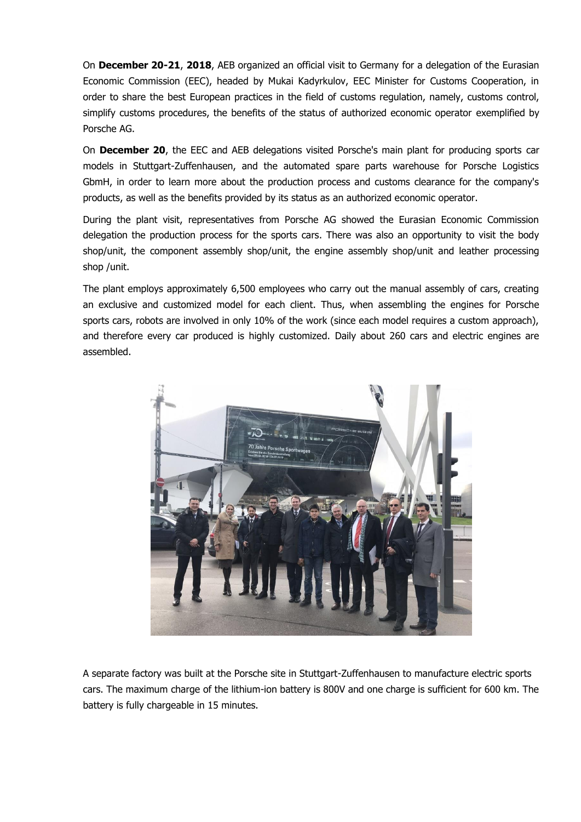On **December 20-21**, **2018**, AEB organized an official visit to Germany for a delegation of the Eurasian Economic Commission (EEC), headed by Mukai Kadyrkulov, EEC Minister for Customs Cooperation, in order to share the best European practices in the field of customs regulation, namely, customs control, simplify customs procedures, the benefits of the status of authorized economic operator exemplified by Porsche AG.

On **December 20**, the EEC and AEB delegations visited Porsche's main plant for producing sports car models in Stuttgart-Zuffenhausen, and the automated spare parts warehouse for Porsche Logistics GbmH, in order to learn more about the production process and customs clearance for the company's products, as well as the benefits provided by its status as an authorized economic operator.

During the plant visit, representatives from Porsche AG showed the Eurasian Economic Commission delegation the production process for the sports cars. There was also an opportunity to visit the body shop/unit, the component assembly shop/unit, the engine assembly shop/unit and leather processing shop /unit.

The plant employs approximately 6,500 employees who carry out the manual assembly of cars, creating an exclusive and customized model for each client. Thus, when assembling the engines for Porsche sports cars, robots are involved in only 10% of the work (since each model requires a custom approach), and therefore every car produced is highly customized. Daily about 260 cars and electric engines are assembled.



A separate factory was built at the Porsche site in Stuttgart-Zuffenhausen to manufacture electric sports cars. The maximum charge of the lithium-ion battery is 800V and one charge is sufficient for 600 km. The battery is fully chargeable in 15 minutes.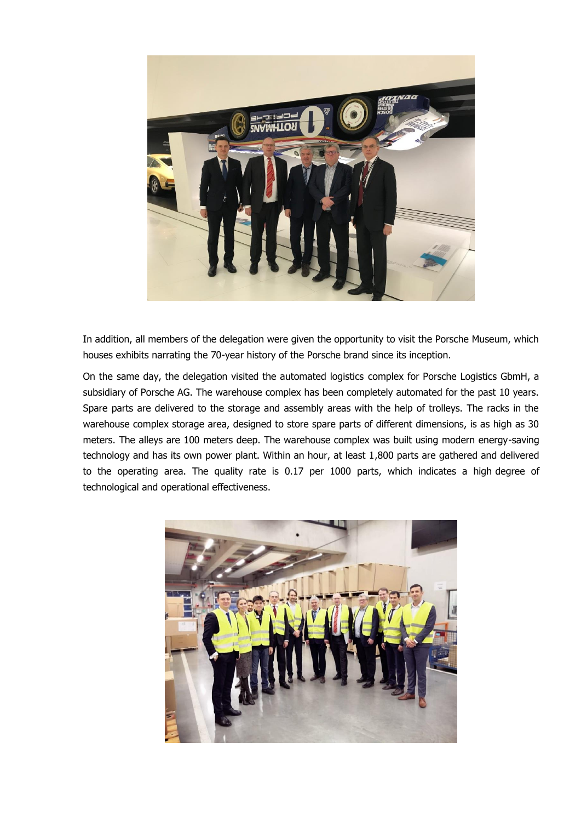

In addition, all members of the delegation were given the opportunity to visit the Porsche Museum, which houses exhibits narrating the 70-year history of the Porsche brand since its inception.

On the same day, the delegation visited the automated logistics complex for Porsche Logistics GbmH, a subsidiary of Porsche AG. The warehouse complex has been completely automated for the past 10 years. Spare parts are delivered to the storage and assembly areas with the help of trolleys. The racks in the warehouse complex storage area, designed to store spare parts of different dimensions, is as high as 30 meters. The alleys are 100 meters deep. The warehouse complex was built using modern energy-saving technology and has its own power plant. Within an hour, at least 1,800 parts are gathered and delivered to the operating area. The quality rate is 0.17 per 1000 parts, which indicates a high degree of technological and operational effectiveness.

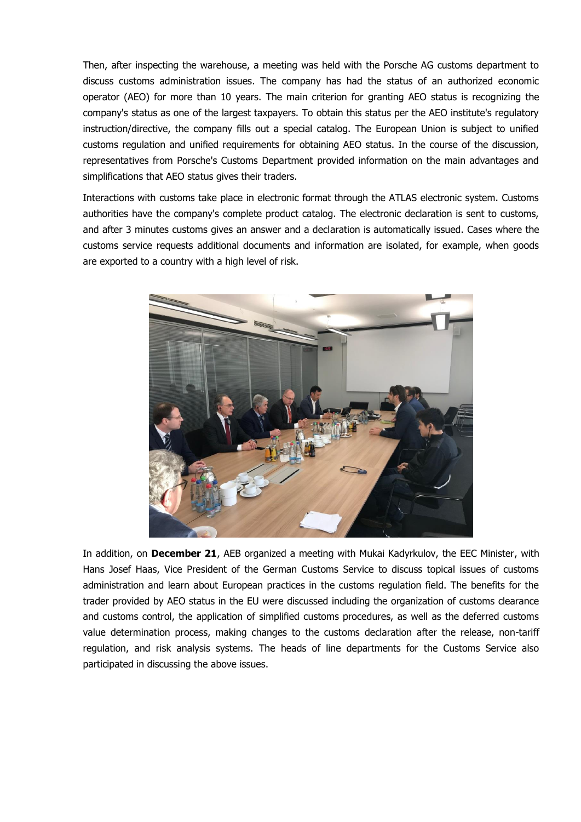Then, after inspecting the warehouse, a meeting was held with the Porsche AG customs department to discuss customs administration issues. The company has had the status of an authorized economic operator (AEO) for more than 10 years. The main criterion for granting AEO status is recognizing the company's status as one of the largest taxpayers. To obtain this status per the AEO institute's regulatory instruction/directive, the company fills out a special catalog. The European Union is subject to unified customs regulation and unified requirements for obtaining AEO status. In the course of the discussion, representatives from Porsche's Customs Department provided information on the main advantages and simplifications that AEO status gives their traders.

Interactions with customs take place in electronic format through the ATLAS electronic system. Customs authorities have the company's complete product catalog. The electronic declaration is sent to customs, and after 3 minutes customs gives an answer and a declaration is automatically issued. Cases where the customs service requests additional documents and information are isolated, for example, when goods are exported to a country with a high level of risk.



In addition, on **December 21**, AEB organized a meeting with Mukai Kadyrkulov, the EEC Minister, with Hans Josef Haas, Vice President of the German Customs Service to discuss topical issues of customs administration and learn about European practices in the customs regulation field. The benefits for the trader provided by AEO status in the EU were discussed including the organization of customs clearance and customs control, the application of simplified customs procedures, as well as the deferred customs value determination process, making changes to the customs declaration after the release, non-tariff regulation, and risk analysis systems. The heads of line departments for the Customs Service also participated in discussing the above issues.